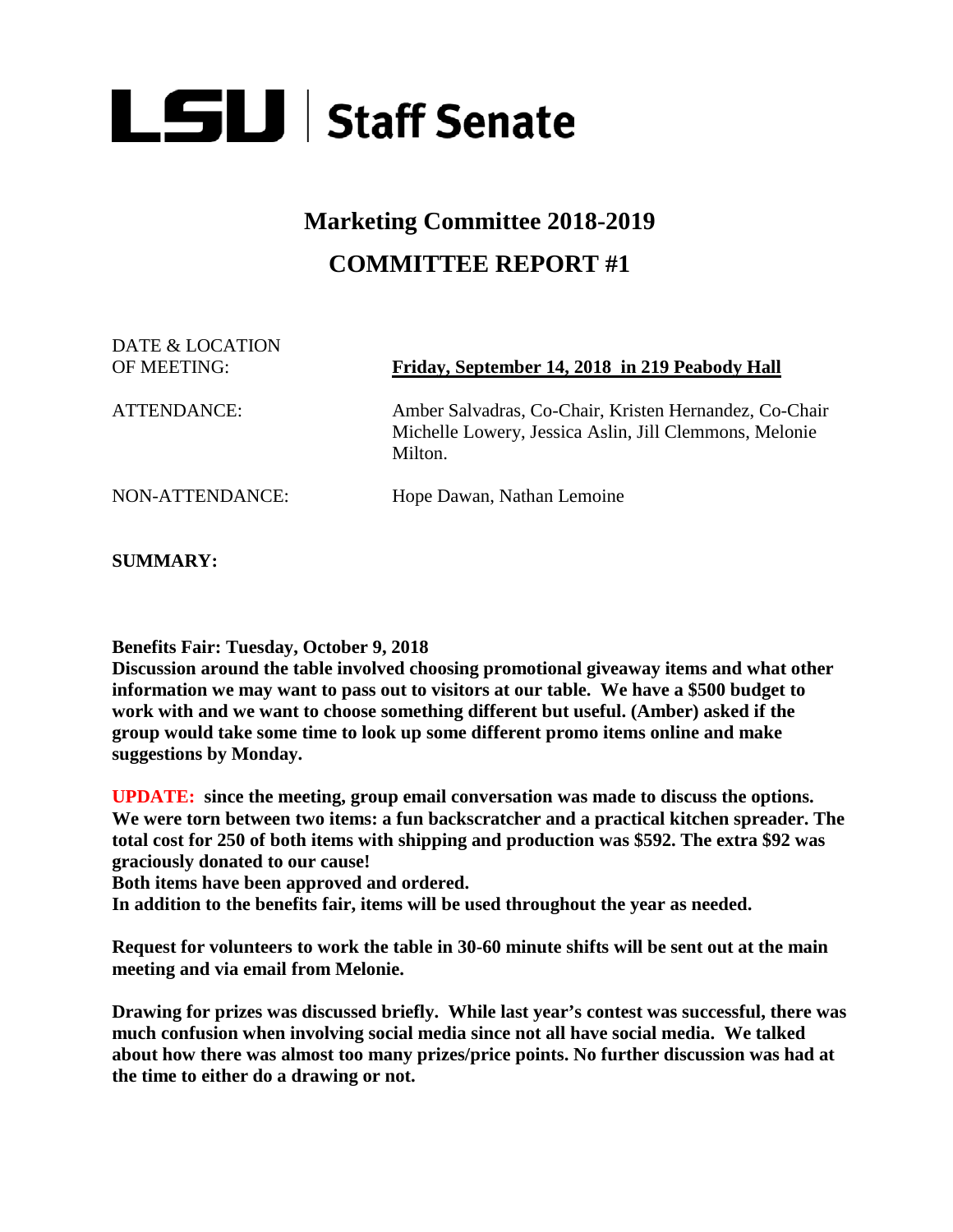

## **Marketing Committee 2018-2019 COMMITTEE REPORT #1**

DATE & LOCATION

## OF MEETING: **Friday, September 14, 2018 in 219 Peabody Hall**

ATTENDANCE: Amber Salvadras, Co-Chair, Kristen Hernandez, Co-Chair Michelle Lowery, Jessica Aslin, Jill Clemmons, Melonie Milton.

NON-ATTENDANCE: Hope Dawan, Nathan Lemoine

**SUMMARY:** 

**Benefits Fair: Tuesday, October 9, 2018** 

**Discussion around the table involved choosing promotional giveaway items and what other information we may want to pass out to visitors at our table. We have a \$500 budget to work with and we want to choose something different but useful. (Amber) asked if the group would take some time to look up some different promo items online and make suggestions by Monday.**

**UPDATE: since the meeting, group email conversation was made to discuss the options. We were torn between two items: a fun backscratcher and a practical kitchen spreader. The total cost for 250 of both items with shipping and production was \$592. The extra \$92 was graciously donated to our cause!** 

**Both items have been approved and ordered.**

**In addition to the benefits fair, items will be used throughout the year as needed.**

**Request for volunteers to work the table in 30-60 minute shifts will be sent out at the main meeting and via email from Melonie.**

**Drawing for prizes was discussed briefly. While last year's contest was successful, there was much confusion when involving social media since not all have social media. We talked about how there was almost too many prizes/price points. No further discussion was had at the time to either do a drawing or not.**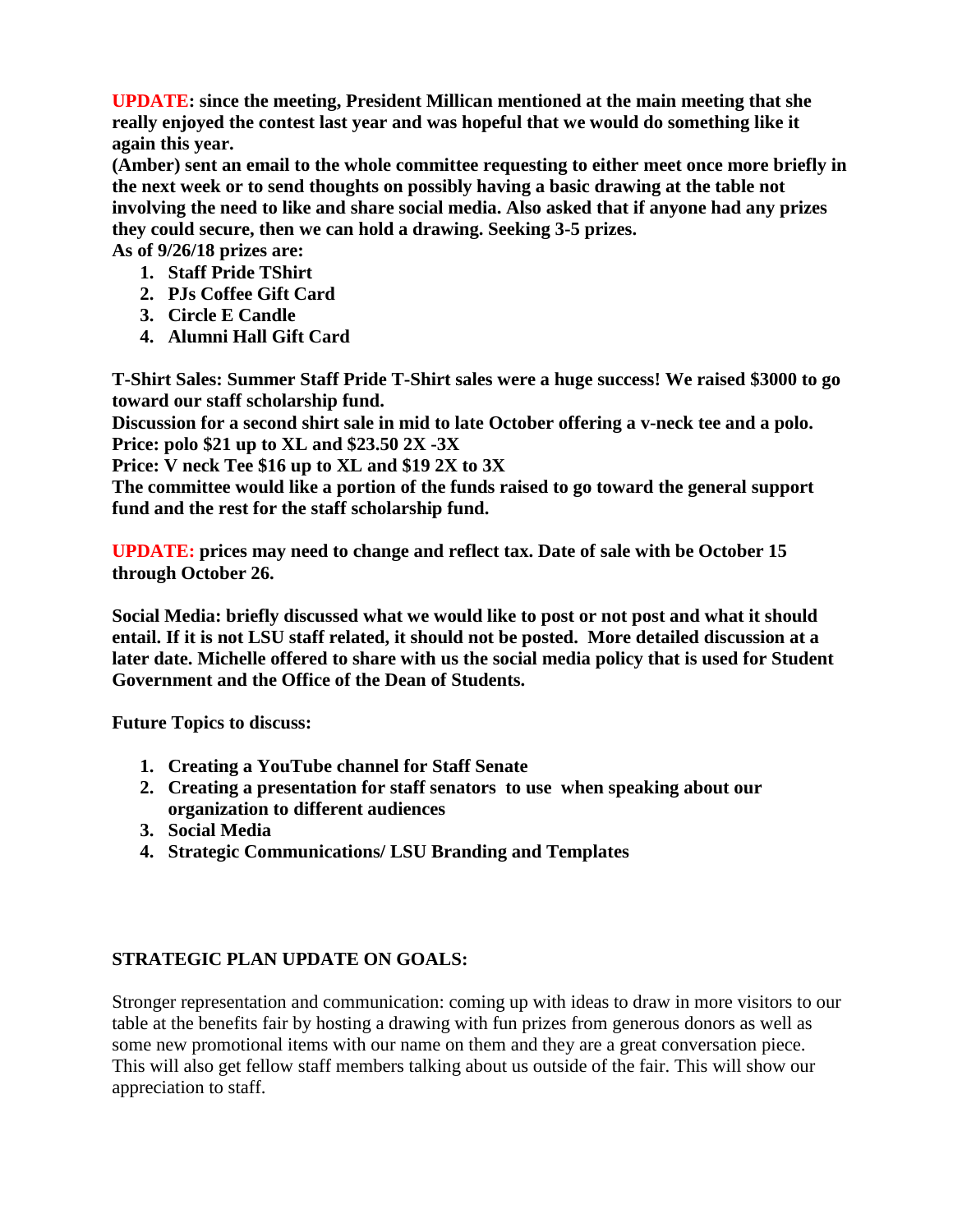**UPDATE: since the meeting, President Millican mentioned at the main meeting that she really enjoyed the contest last year and was hopeful that we would do something like it again this year.**

**(Amber) sent an email to the whole committee requesting to either meet once more briefly in the next week or to send thoughts on possibly having a basic drawing at the table not involving the need to like and share social media. Also asked that if anyone had any prizes they could secure, then we can hold a drawing. Seeking 3-5 prizes.**

**As of 9/26/18 prizes are:**

- **1. Staff Pride TShirt**
- **2. PJs Coffee Gift Card**
- **3. Circle E Candle**
- **4. Alumni Hall Gift Card**

**T-Shirt Sales: Summer Staff Pride T-Shirt sales were a huge success! We raised \$3000 to go toward our staff scholarship fund.** 

**Discussion for a second shirt sale in mid to late October offering a v-neck tee and a polo. Price: polo \$21 up to XL and \$23.50 2X -3X**

**Price: V neck Tee \$16 up to XL and \$19 2X to 3X**

**The committee would like a portion of the funds raised to go toward the general support fund and the rest for the staff scholarship fund.** 

**UPDATE: prices may need to change and reflect tax. Date of sale with be October 15 through October 26.**

**Social Media: briefly discussed what we would like to post or not post and what it should entail. If it is not LSU staff related, it should not be posted. More detailed discussion at a later date. Michelle offered to share with us the social media policy that is used for Student Government and the Office of the Dean of Students.**

**Future Topics to discuss:**

- **1. Creating a YouTube channel for Staff Senate**
- **2. Creating a presentation for staff senators to use when speaking about our organization to different audiences**
- **3. Social Media**
- **4. Strategic Communications/ LSU Branding and Templates**

## **STRATEGIC PLAN UPDATE ON GOALS:**

Stronger representation and communication: coming up with ideas to draw in more visitors to our table at the benefits fair by hosting a drawing with fun prizes from generous donors as well as some new promotional items with our name on them and they are a great conversation piece. This will also get fellow staff members talking about us outside of the fair. This will show our appreciation to staff.